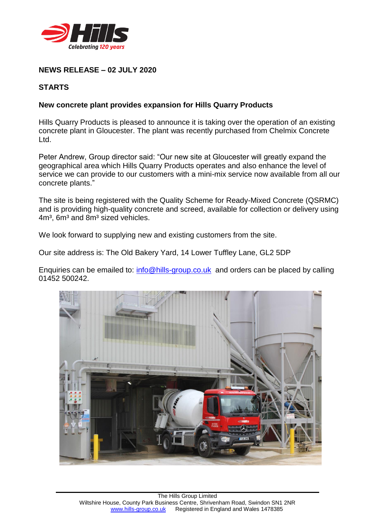

# **NEWS RELEASE – 02 JULY 2020**

## **STARTS**

### **New concrete plant provides expansion for Hills Quarry Products**

Hills Quarry Products is pleased to announce it is taking over the operation of an existing concrete plant in Gloucester. The plant was recently purchased from Chelmix Concrete Ltd.

Peter Andrew, Group director said: "Our new site at Gloucester will greatly expand the geographical area which Hills Quarry Products operates and also enhance the level of service we can provide to our customers with a mini-mix service now available from all our concrete plants."

The site is being registered with the Quality Scheme for Ready-Mixed Concrete (QSRMC) and is providing high-quality concrete and screed, available for collection or delivery using 4m<sup>3</sup>, 6m<sup>3</sup> and 8m<sup>3</sup> sized vehicles.

We look forward to supplying new and existing customers from the site.

Our site address is: The Old Bakery Yard, 14 Lower Tuffley Lane, GL2 5DP

Enquiries can be emailed to: [info@hills-group.co.uk](mailto:info@hills-group.co.uk) and orders can be placed by calling 01452 500242.